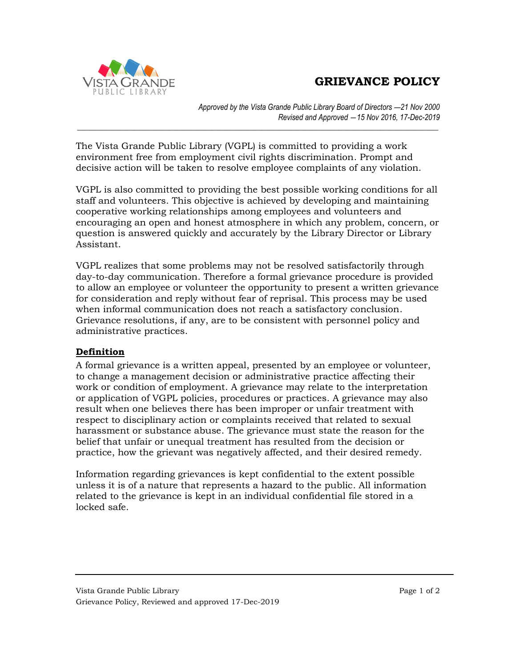## **GRIEVANCE POLICY**



*Approved by the Vista Grande Public Library Board of Directors ―21 Nov 2000 Revised and Approved ―15 Nov 2016, 17-Dec-2019*

The Vista Grande Public Library (VGPL) is committed to providing a work environment free from employment civil rights discrimination. Prompt and decisive action will be taken to resolve employee complaints of any violation.

*\_\_\_\_\_\_\_\_\_\_\_\_\_\_\_\_\_\_\_\_\_\_\_\_\_\_\_\_\_\_\_\_\_\_\_\_\_\_\_\_\_\_\_\_\_\_\_\_\_\_\_\_\_\_\_\_\_\_\_\_\_\_\_\_\_\_\_\_\_\_\_\_\_\_\_\_\_\_\_\_\_\_\_\_\_\_\_\_\_\_\_\_\_\_*

VGPL is also committed to providing the best possible working conditions for all staff and volunteers. This objective is achieved by developing and maintaining cooperative working relationships among employees and volunteers and encouraging an open and honest atmosphere in which any problem, concern, or question is answered quickly and accurately by the Library Director or Library Assistant.

VGPL realizes that some problems may not be resolved satisfactorily through day-to-day communication. Therefore a formal grievance procedure is provided to allow an employee or volunteer the opportunity to present a written grievance for consideration and reply without fear of reprisal. This process may be used when informal communication does not reach a satisfactory conclusion. Grievance resolutions, if any, are to be consistent with personnel policy and administrative practices.

## **Definition**

A formal grievance is a written appeal, presented by an employee or volunteer, to change a management decision or administrative practice affecting their work or condition of employment. A grievance may relate to the interpretation or application of VGPL policies, procedures or practices. A grievance may also result when one believes there has been improper or unfair treatment with respect to disciplinary action or complaints received that related to sexual harassment or substance abuse. The grievance must state the reason for the belief that unfair or unequal treatment has resulted from the decision or practice, how the grievant was negatively affected, and their desired remedy.

Information regarding grievances is kept confidential to the extent possible unless it is of a nature that represents a hazard to the public. All information related to the grievance is kept in an individual confidential file stored in a locked safe.